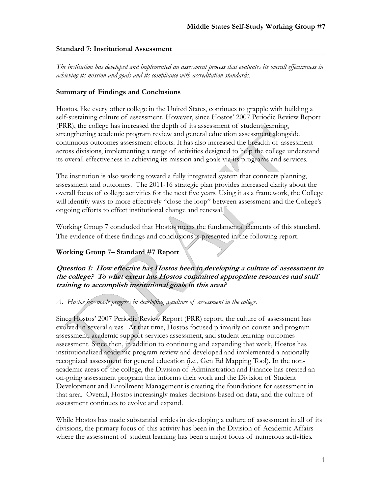#### **Standard 7: Institutional Assessment**

*The institution has developed and implemented an assessment process that evaluates its overall effectiveness in achieving its mission and goals and its compliance with accreditation standards.* 

#### **Summary of Findings and Conclusions**

Hostos, like every other college in the United States, continues to grapple with building a self-sustaining culture of assessment. However, since Hostos' 2007 Periodic Review Report (PRR), the college has increased the depth of its assessment of student learning, strengthening academic program review and general education assessment alongside continuous outcomes assessment efforts. It has also increased the breadth of assessment across divisions, implementing a range of activities designed to help the college understand its overall effectiveness in achieving its mission and goals via its programs and services.

The institution is also working toward a fully integrated system that connects planning, assessment and outcomes. The 2011-16 strategic plan provides increased clarity about the overall focus of college activities for the next five years. Using it as a framework, the College will identify ways to more effectively "close the loop" between assessment and the College's ongoing efforts to effect institutional change and renewal.

Working Group 7 concluded that Hostos meets the fundamental elements of this standard. The evidence of these findings and conclusions is presented in the following report.

### **Working Group 7– Standard #7 Report**

**Question 1: How effective has Hostos been in developing a culture of assessment in the college? To what extent has Hostos committed appropriate resources and staff training to accomplish institutional goals in this area?** 

*A. Hostos has made progress in developing a culture of assessment in the college.* 

Since Hostos' 2007 Periodic Review Report (PRR) report, the culture of assessment has evolved in several areas. At that time, Hostos focused primarily on course and program assessment, academic support-services assessment, and student learning-outcomes assessment. Since then, in addition to continuing and expanding that work, Hostos has institutionalized academic program review and developed and implemented a nationally recognized assessment for general education (i.e., Gen Ed Mapping Tool). In the nonacademic areas of the college, the Division of Administration and Finance has created an on-going assessment program that informs their work and the Division of Student Development and Enrollment Management is creating the foundations for assessment in that area. Overall, Hostos increasingly makes decisions based on data, and the culture of assessment continues to evolve and expand.

While Hostos has made substantial strides in developing a culture of assessment in all of its divisions, the primary focus of this activity has been in the Division of Academic Affairs where the assessment of student learning has been a major focus of numerous activities.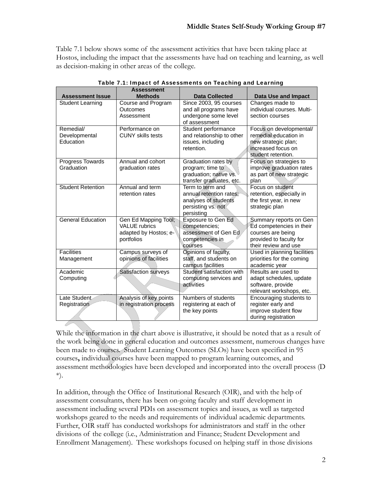Table 7.1 below shows some of the assessment activities that have been taking place at Hostos, including the impact that the assessments have had on teaching and learning, as well as decision-making in other areas of the college.

| <b>Assessment Issue</b>                 | <b>Assessment</b><br><b>Methods</b>                                                 | <b>Data Collected</b>                                                                                   | <b>Data Use and Impact</b>                                                                                                 |
|-----------------------------------------|-------------------------------------------------------------------------------------|---------------------------------------------------------------------------------------------------------|----------------------------------------------------------------------------------------------------------------------------|
| <b>Student Learning</b>                 | Course and Program<br>Outcomes<br>Assessment                                        | Since 2003, 95 courses<br>and all programs have<br>undergone some level<br>of assessment                | Changes made to<br>individual courses. Multi-<br>section courses                                                           |
| Remedial/<br>Developmental<br>Education | Performance on<br><b>CUNY skills tests</b>                                          | Student performance<br>and relationship to other<br>issues, including<br>retention.                     | Focus on developmental/<br>remedial education in<br>new strategic plan;<br>increased focus on<br>student retention.        |
| Progress Towards<br>Graduation          | Annual and cohort<br>graduation rates                                               | Graduation rates by<br>program; time to<br>graduation; native vs.<br>transfer graduates, etc.           | Focus on strategies to<br>improve graduation rates<br>as part of new strategic<br>plan                                     |
| <b>Student Retention</b>                | Annual and term<br>retention rates                                                  | Term to term and<br>annual retention rates:<br>analyses of students<br>persisting vs. not<br>persisting | Focus on student<br>retention, especially in<br>the first year, in new<br>strategic plan                                   |
| <b>General Education</b>                | Gen Ed Mapping Tool;<br><b>VALUE</b> rubrics<br>adapted by Hostos; e-<br>portfolios | <b>Exposure to Gen Ed</b><br>competencies;<br>assessment of Gen Ed<br>competencies in<br>courses        | Summary reports on Gen<br>Ed competencies in their<br>courses are being<br>provided to faculty for<br>their review and use |
| <b>Facilities</b><br>Management         | Campus surveys of<br>opinions of facilities                                         | Opinions of faculty,<br>staff, and students on<br>campus facilities                                     | Used in planning facilities<br>priorities for the coming<br>academic year                                                  |
| Academic<br>Computing                   | Satisfaction surveys                                                                | Student satisfaction with<br>computing services and<br>activities                                       | Results are used to<br>adapt schedules, update<br>software, provide<br>relevant workshops, etc.                            |
| Late Student<br>Registration            | Analysis of key points<br>in registration process                                   | Numbers of students<br>registering at each of<br>the key points                                         | Encouraging students to<br>register early and<br>improve student flow<br>during registration                               |

|  |  |  |  | Table 7.1: Impact of Assessments on Teaching and Learning |
|--|--|--|--|-----------------------------------------------------------|
|  |  |  |  |                                                           |

While the information in the chart above is illustrative, it should be noted that as a result of the work being done in general education and outcomes assessment, numerous changes have been made to courses. Student Learning Outcomes (SLOs) have been specified in 95 courses**,** individual courses have been mapped to program learning outcomes, and assessment methodologies have been developed and incorporated into the overall process (D \*).

In addition, through the Office of Institutional Research (OIR), and with the help of assessment consultants, there has been on-going faculty and staff development in assessment including several PDIs on assessment topics and issues, as well as targeted workshops geared to the needs and requirements of individual academic departments. Further, OIR staff has conducted workshops for administrators and staff in the other divisions of the college (i.e., Administration and Finance; Student Development and Enrollment Management). These workshops focused on helping staff in those divisions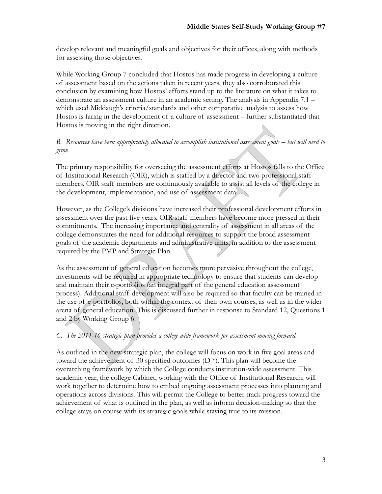develop relevant and meaningful goals and objectives for their offices, along with methods for assessing those objectives.

While Working Group 7 concluded that Hostos has made progress in developing a culture of assessment based on the actions taken in recent years, they also corroborated this conclusion by examining how Hostos' efforts stand up to the literature on what it takes to demonstrate an assessment culture in an academic setting. The analysis in Appendix 7.1 – which used Middaugh's criteria/standards and other comparative analysis to assess how Hostos is faring in the development of a culture of assessment – further substantiated that Hostos is moving in the right direction.

*B. Resources have been appropriately allocated to accomplish institutional assessment goals – but will need to grow.* 

The primary responsibility for overseeing the assessment efforts at Hostos falls to the Office of Institutional Research (OIR), which is staffed by a director and two professional staffmembers. OIR staff members are continuously available to assist all levels of the college in the development, implementation, and use of assessment data.

However, as the College's divisions have increased their professional development efforts in assessment over the past five years, OIR staff members have become more pressed in their commitments. The increasing importance and centrality of assessment in all areas of the college demonstrates the need for additional resources to support the broad assessment goals of the academic departments and administrative units, in addition to the assessment required by the PMP and Strategic Plan.

As the assessment of general education becomes more pervasive throughout the college, investments will be required in appropriate technology to ensure that students can develop and maintain their e-portfolios (an integral part of the general education assessment process). Additional staff development will also be required so that faculty can be trained in the use of e-portfolios, both within the context of their own courses, as well as in the wider arena of general education. This is discussed further in response to Standard 12, Questions 1 and 2 by Working Group 6.

### *C. The 2011-16 strategic plan provides a college-wide framework for assessment moving forward.*

As outlined in the new strategic plan, the college will focus on work in five goal areas and toward the achievement of 30 specified outcomes (D \*). This plan will become the overarching framework by which the College conducts institution-wide assessment. This academic year, the college Cabinet, working with the Office of Institutional Research, will work together to determine how to embed ongoing assessment processes into planning and operations across divisions. This will permit the College to better track progress toward the achievement of what is outlined in the plan, as well as inform decision-making so that the college stays on course with its strategic goals while staying true to its mission.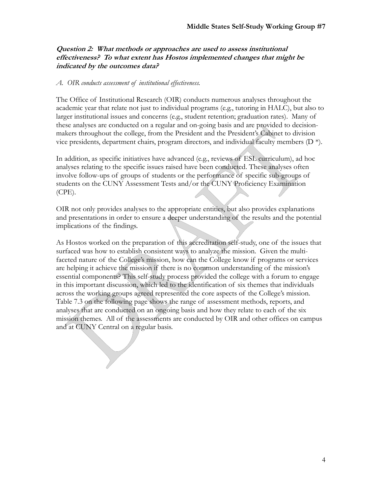### **Question 2: What methods or approaches are used to assess institutional effectiveness? To what extent has Hostos implemented changes that might be indicated by the outcomes data?**

#### *A. OIR conducts assessment of institutional effectiveness.*

The Office of Institutional Research (OIR) conducts numerous analyses throughout the academic year that relate not just to individual programs (e.g., tutoring in HALC), but also to larger institutional issues and concerns (e.g., student retention; graduation rates). Many of these analyses are conducted on a regular and on-going basis and are provided to decisionmakers throughout the college, from the President and the President's Cabinet to division vice presidents, department chairs, program directors, and individual faculty members (D \*).

In addition, as specific initiatives have advanced (e.g., reviews of ESL curriculum), ad hoc analyses relating to the specific issues raised have been conducted. These analyses often involve follow-ups of groups of students or the performance of specific sub-groups of students on the CUNY Assessment Tests and/or the CUNY Proficiency Examination (CPE).

OIR not only provides analyses to the appropriate entities, but also provides explanations and presentations in order to ensure a deeper understanding of the results and the potential implications of the findings.

As Hostos worked on the preparation of this accreditation self-study, one of the issues that surfaced was how to establish consistent ways to analyze the mission. Given the multifaceted nature of the College's mission, how can the College know if programs or services are helping it achieve the mission if there is no common understanding of the mission's essential components? This self-study process provided the college with a forum to engage in this important discussion, which led to the identification of six themes that individuals across the working groups agreed represented the core aspects of the College's mission. Table 7.3 on the following page shows the range of assessment methods, reports, and analyses that are conducted on an ongoing basis and how they relate to each of the six mission themes. All of the assessments are conducted by OIR and other offices on campus and at CUNY Central on a regular basis.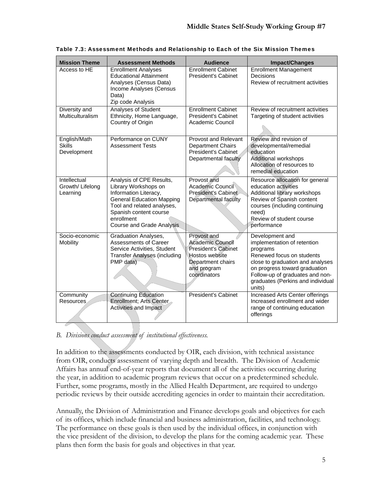| <b>Mission Theme</b>                         | <b>Assessment Methods</b>                                                                                                                                                                                               | <b>Audience</b>                                                                                                                     | <b>Impact/Changes</b>                                                                                                                                                                                                                          |
|----------------------------------------------|-------------------------------------------------------------------------------------------------------------------------------------------------------------------------------------------------------------------------|-------------------------------------------------------------------------------------------------------------------------------------|------------------------------------------------------------------------------------------------------------------------------------------------------------------------------------------------------------------------------------------------|
| Access to HE                                 | <b>Enrollment Analyses</b><br><b>Educational Attainment</b><br>Analyses (Census Data)<br>Income Analyses (Census<br>Data)<br>Zip code Analysis                                                                          | <b>Enrollment Cabinet</b><br><b>President's Cabinet</b>                                                                             | <b>Enrollment Management</b><br>Decisions<br>Review of recruitment activities                                                                                                                                                                  |
| Diversity and<br>Multiculturalism            | Analyses of Student<br>Ethnicity, Home Language,<br>Country of Origin                                                                                                                                                   | <b>Enrollment Cabinet</b><br><b>President's Cabinet</b><br>Academic Council                                                         | Review of recruitment activities<br>Targeting of student activities                                                                                                                                                                            |
| English/Math<br><b>Skills</b><br>Development | Performance on CUNY<br><b>Assessment Tests</b>                                                                                                                                                                          | Provost and Relevant<br><b>Department Chairs</b><br><b>President's Cabinet</b><br>Departmental faculty                              | Review and revision of<br>developmental/remedial<br>education<br>Additional workshops<br>Allocation of resources to<br>remedial education                                                                                                      |
| Intellectual<br>Growth/ Lifelong<br>Learning | Analysis of CPE Results,<br>Library Workshops on<br>Information Literacy,<br><b>General Education Mapping</b><br>Tool and related analyses,<br>Spanish content course<br>enrollment<br><b>Course and Grade Analysis</b> | Provost and<br>Academic Council<br>President's Cabinet<br>Departmental faculty                                                      | Resource allocation for general<br>education activities<br>Additional library workshops<br>Review of Spanish content<br>courses (including continuing<br>need)<br>Review of student course<br>performance                                      |
| Socio-economic<br>Mobility                   | <b>Graduation Analyses,</b><br>Assessments of Career<br>Service Activities, Student<br><b>Transfer Analyses (including</b><br>PMP data)                                                                                 | Provost and<br><b>Academic Council</b><br>President's Cabinet<br>Hostos website<br>Department chairs<br>and program<br>coordinators | Development and<br>implementation of retention<br>programs<br>Renewed focus on students<br>close to graduation and analyses<br>on progress toward graduation<br>Follow-up of graduates and non-<br>graduates (Perkins and individual<br>units) |
| Community<br>Resources                       | <b>Continuing Education</b><br>Enrollment; Arts Center<br><b>Activities and Impact</b>                                                                                                                                  | President's Cabinet                                                                                                                 | Increased Arts Center offerings<br>Increased enrollment and wider<br>range of continuing education<br>offerings                                                                                                                                |

Table 7.3: Assessment Methods and Relationship to Each of the Six Mission Themes

## *B. Divisions conduct assessment of institutional effectiveness.*

In addition to the assessments conducted by OIR, each division, with technical assistance from OIR, conducts assessment of varying depth and breadth. The Division of Academic Affairs has annual end-of-year reports that document all of the activities occurring during the year, in addition to academic program reviews that occur on a predetermined schedule. Further, some programs, mostly in the Allied Health Department, are required to undergo periodic reviews by their outside accrediting agencies in order to maintain their accreditation.

Annually, the Division of Administration and Finance develops goals and objectives for each of its offices, which include financial and business administration, facilities, and technology. The performance on these goals is then used by the individual offices, in conjunction with the vice president of the division, to develop the plans for the coming academic year. These plans then form the basis for goals and objectives in that year.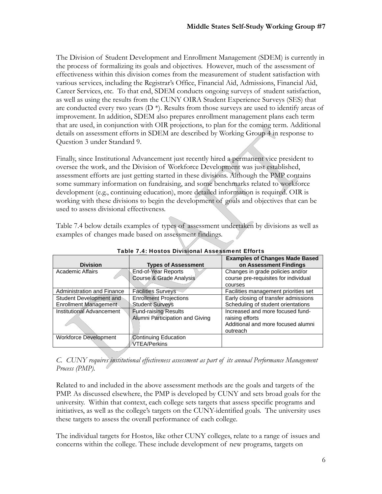The Division of Student Development and Enrollment Management (SDEM) is currently in the process of formalizing its goals and objectives. However, much of the assessment of effectiveness within this division comes from the measurement of student satisfaction with various services, including the Registrar's Office, Financial Aid, Admissions, Financial Aid, Career Services, etc. To that end, SDEM conducts ongoing surveys of student satisfaction, as well as using the results from the CUNY OIRA Student Experience Surveys (SES) that are conducted every two years  $(D^*)$ . Results from those surveys are used to identify areas of improvement. In addition, SDEM also prepares enrollment management plans each term that are used, in conjunction with OIR projections, to plan for the coming term. Additional details on assessment efforts in SDEM are described by Working Group 4 in response to Question 3 under Standard 9.

Finally, since Institutional Advancement just recently hired a permanent vice president to oversee the work, and the Division of Workforce Development was just established, assessment efforts are just getting started in these divisions. Although the PMP contains some summary information on fundraising, and some benchmarks related to workforce development (e.g., continuing education), more detailed information is required. OIR is working with these divisions to begin the development of goals and objectives that can be used to assess divisional effectiveness.

Table 7.4 below details examples of types of assessment undertaken by divisions as well as examples of changes made based on assessment findings.

| <b>Division</b>                                  | <b>Types of Assessment</b>                                     | <b>Examples of Changes Made Based</b><br>on Assessment Findings                                       |  |
|--------------------------------------------------|----------------------------------------------------------------|-------------------------------------------------------------------------------------------------------|--|
| <b>Academic Affairs</b>                          | <b>End-of-Year Reports</b><br>Course & Grade Analysis          | Changes in grade policies and/or<br>course pre-requisites for individual<br>courses                   |  |
| <b>Administration and Finance</b>                | <b>Facilities Surveys</b>                                      | Facilities management priorities set                                                                  |  |
| Student Development and<br>Enrollment Management | <b>Enrollment Projections</b><br><b>Student Surveys</b>        | Early closing of transfer admissions<br>Scheduling of student orientations                            |  |
| Institutional Advancement                        | <b>Fund-raising Results</b><br>Alumni Participation and Giving | Increased and more focused fund-<br>raising efforts<br>Additional and more focused alumni<br>outreach |  |
| Workforce Development                            | Continuing Education<br>VTEA/Perkins                           |                                                                                                       |  |

Table 7.4: Hostos Divisional Assessment Efforts

*C. CUNY requires institutional effectiveness assessment as part of its annual Performance Management Process (PMP).* 

Related to and included in the above assessment methods are the goals and targets of the PMP. As discussed elsewhere, the PMP is developed by CUNY and sets broad goals for the university. Within that context, each college sets targets that assess specific programs and initiatives, as well as the college's targets on the CUNY-identified goals. The university uses these targets to assess the overall performance of each college.

The individual targets for Hostos, like other CUNY colleges, relate to a range of issues and concerns within the college. These include development of new programs, targets on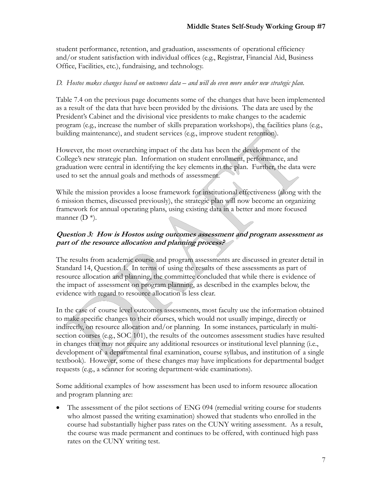student performance, retention, and graduation, assessments of operational efficiency and/or student satisfaction with individual offices (e.g., Registrar, Financial Aid, Business Office, Facilities, etc.), fundraising, and technology.

### *D. Hostos makes changes based on outcomes data – and will do even more under new strategic plan.*

Table 7.4 on the previous page documents some of the changes that have been implemented as a result of the data that have been provided by the divisions. The data are used by the President's Cabinet and the divisional vice presidents to make changes to the academic program (e.g., increase the number of skills preparation workshops), the facilities plans (e.g., building maintenance), and student services (e.g., improve student retention).

However, the most overarching impact of the data has been the development of the College's new strategic plan. Information on student enrollment, performance, and graduation were central in identifying the key elements in the plan. Further, the data were used to set the annual goals and methods of assessment.

While the mission provides a loose framework for institutional effectiveness (along with the 6 mission themes, discussed previously), the strategic plan will now become an organizing framework for annual operating plans, using existing data in a better and more focused manner  $(D^*)$ .

## **Question 3: How is Hostos using outcomes assessment and program assessment as part of the resource allocation and planning process?**

The results from academic course and program assessments are discussed in greater detail in Standard 14, Question 1. In terms of using the results of these assessments as part of resource allocation and planning, the committee concluded that while there is evidence of the impact of assessment on program planning, as described in the examples below, the evidence with regard to resource allocation is less clear.

In the case of course level outcomes assessments, most faculty use the information obtained to make specific changes to their courses, which would not usually impinge, directly or indirectly, on resource allocation and/or planning. In some instances, particularly in multisection courses (e.g., SOC/101), the results of the outcomes assessment studies have resulted in changes that may not require any additional resources or institutional level planning (i.e., development of a departmental final examination, course syllabus, and institution of a single textbook). However, some of these changes may have implications for departmental budget requests (e.g., a scanner for scoring department-wide examinations).

Some additional examples of how assessment has been used to inform resource allocation and program planning are:

 The assessment of the pilot sections of ENG 094 (remedial writing course for students who almost passed the writing examination) showed that students who enrolled in the course had substantially higher pass rates on the CUNY writing assessment. As a result, the course was made permanent and continues to be offered, with continued high pass rates on the CUNY writing test.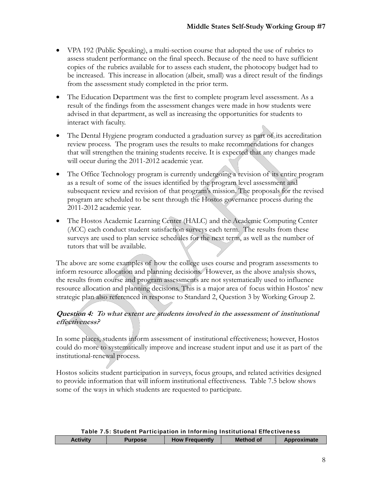- VPA 192 (Public Speaking), a multi-section course that adopted the use of rubrics to assess student performance on the final speech. Because of the need to have sufficient copies of the rubrics available for to assess each student, the photocopy budget had to be increased. This increase in allocation (albeit, small) was a direct result of the findings from the assessment study completed in the prior term.
- The Education Department was the first to complete program level assessment. As a result of the findings from the assessment changes were made in how students were advised in that department, as well as increasing the opportunities for students to interact with faculty.
- The Dental Hygiene program conducted a graduation survey as part of its accreditation review process. The program uses the results to make recommendations for changes that will strengthen the training students receive. It is expected that any changes made will occur during the 2011-2012 academic year.
- The Office Technology program is currently undergoing a revision of its entire program as a result of some of the issues identified by the program level assessment and subsequent review and revision of that program's mission. The proposals for the revised program are scheduled to be sent through the Hostos governance process during the 2011-2012 academic year.
- The Hostos Academic Learning Center (HALC) and the Academic Computing Center (ACC) each conduct student satisfaction surveys each term. The results from these surveys are used to plan service schedules for the next term, as well as the number of tutors that will be available.

The above are some examples of how the college uses course and program assessments to inform resource allocation and planning decisions. However, as the above analysis shows, the results from course and program assessments are not systematically used to influence resource allocation and planning decisions. This is a major area of focus within Hostos' new strategic plan also referenced in response to Standard 2, Question 3 by Working Group 2.

## **Question 4: To what extent are students involved in the assessment of institutional effectiveness?**

In some places, students inform assessment of institutional effectiveness; however, Hostos could do more to systematically improve and increase student input and use it as part of the institutional-renewal process.

Hostos solicits student participation in surveys, focus groups, and related activities designed to provide information that will inform institutional effectiveness. Table 7.5 below shows some of the ways in which students are requested to participate.

| Table 7.5: Student Participation in Informing Institutional Effectiveness |                                                                     |  |  |  |
|---------------------------------------------------------------------------|---------------------------------------------------------------------|--|--|--|
| <b>Activity</b>                                                           | <b>How Frequently</b><br>Method of<br>Approximate<br><b>Purpose</b> |  |  |  |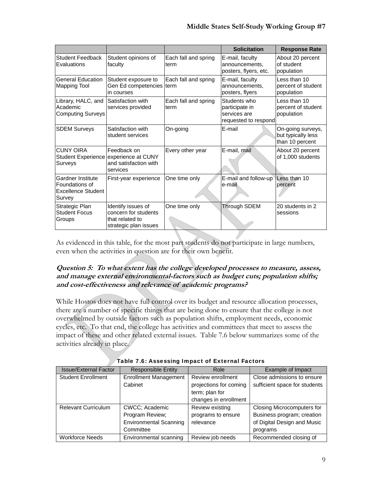|                                                                     |                                                                                           |                              | <b>Solicitation</b>                                                    | <b>Response Rate</b>                                       |
|---------------------------------------------------------------------|-------------------------------------------------------------------------------------------|------------------------------|------------------------------------------------------------------------|------------------------------------------------------------|
| <b>Student Feedback</b><br>Evaluations                              | Student opinions of<br>faculty                                                            | Each fall and spring<br>term | E-mail, faculty<br>announcements.<br>posters, flyers, etc.             | About 20 percent<br>of student<br>population               |
| <b>General Education</b><br>Mapping Tool                            | Student exposure to<br>Gen Ed competencies term<br>in courses                             | Each fall and spring         | E-mail, faculty<br>announcements.<br>posters, flyers                   | Less than 10<br>percent of student<br>population           |
| Library, HALC, and<br>Academic<br><b>Computing Surveys</b>          | Satisfaction with<br>services provided                                                    | Each fall and spring<br>term | Students who<br>participate in<br>services are<br>requested to respond | Less than 10<br>percent of student<br>population           |
| <b>SDEM Surveys</b>                                                 | Satisfaction with<br>student services                                                     | On-going                     | E-mail                                                                 | On-going surveys,<br>but typically less<br>than 10 percent |
| <b>CUNY OIRA</b><br>Surveys                                         | Feedback on<br>Student Experience experience at CUNY<br>and satisfaction with<br>services | Every other year             | E-mail, mail                                                           | About 20 percent<br>of 1,000 students                      |
| Gardner Institute<br>Foundations of<br>Excellence Student<br>Survey | First-year experience                                                                     | One time only                | E-mail and follow-up<br>e-mail                                         | Less than 10<br>percent                                    |
| Strategic Plan<br><b>Student Focus</b><br>Groups                    | Identify issues of<br>concern for students<br>lthat related to<br>strategic plan issues   | One time only                | Through SDEM                                                           | 20 students in 2<br>sessions                               |

As evidenced in this table, for the most part students do not participate in large numbers, even when the activities in question are for their own benefit.

## **Question 5: To what extent has the college developed processes to measure, assess, and manage external environmental-factors such as budget cuts; population shifts; and cost-effectiveness and relevance of academic programs?**

While Hostos does not have full control over its budget and resource allocation processes, there are a number of specific things that are being done to ensure that the college is not overwhelmed by outside factors such as population shifts, employment needs, economic cycles, etc. To that end, the college has activities and committees that meet to assess the impact of these and other related external issues. Table 7.6 below summarizes some of the activities already in place.

| <b>Issue/External Factor</b> | <b>Responsible Entity</b>               | Role                                        | Example of Impact                                           |
|------------------------------|-----------------------------------------|---------------------------------------------|-------------------------------------------------------------|
| <b>Student Enrollment</b>    | <b>Enrollment Management</b><br>Cabinet | Review enrollment<br>projections for coming | Close admissions to ensure<br>sufficient space for students |
|                              |                                         | term; plan for                              |                                                             |
|                              |                                         | changes in enrollment                       |                                                             |
| <b>Relevant Curriculum</b>   | CWCC; Academic                          | Review existing                             | Closing Microcomputers for                                  |
|                              | Program Review;                         | programs to ensure                          | Business program; creation                                  |
|                              | <b>Environmental Scanning</b>           | relevance                                   | of Digital Design and Music                                 |
|                              | Committee                               |                                             | programs                                                    |
| <b>Workforce Needs</b>       | Environmental scanning                  | Review job needs                            | Recommended closing of                                      |

Table 7.6: Assessing Impact of External Factors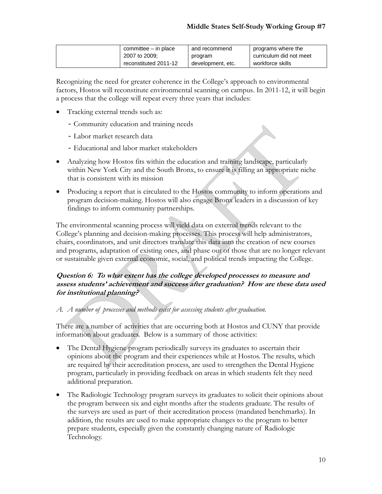| committee – in place  | and recommend     | programs where the      |
|-----------------------|-------------------|-------------------------|
| 2007 to 2009:         | program           | curriculum did not meet |
| reconstituted 2011-12 | development, etc. | workforce skills        |

Recognizing the need for greater coherence in the College's approach to environmental factors, Hostos will reconstitute environmental scanning on campus. In 2011-12, it will begin a process that the college will repeat every three years that includes:

- Tracking external trends such as:
	- Community education and training needs
	- Labor market research data
	- Educational and labor market stakeholders
- Analyzing how Hostos fits within the education and training landscape, particularly within New York City and the South Bronx, to ensure it is filling an appropriate niche that is consistent with its mission
- Producing a report that is circulated to the Hostos community to inform operations and program decision-making. Hostos will also engage Bronx leaders in a discussion of key findings to inform community partnerships.

The environmental scanning process will yield data on external trends relevant to the College's planning and decision-making processes. This process will help administrators, chairs, coordinators, and unit directors translate this data into the creation of new courses and programs, adaptation of existing ones, and phase out of those that are no longer relevant or sustainable given external economic, social, and political trends impacting the College.

### **Question 6: To what extent has the college developed processes to measure and assess students' achievement and success after graduation? How are these data used for institutional planning?**

*A. A number of processes and methods exist for assessing students after graduation.* 

There are a number of activities that are occurring both at Hostos and CUNY that provide information about graduates. Below is a summary of those activities:

- The Dental Hygiene program periodically surveys its graduates to ascertain their opinions about the program and their experiences while at Hostos. The results, which are required by their accreditation process, are used to strengthen the Dental Hygiene program, particularly in providing feedback on areas in which students felt they need additional preparation.
- The Radiologic Technology program surveys its graduates to solicit their opinions about the program between six and eight months after the students graduate. The results of the surveys are used as part of their accreditation process (mandated benchmarks). In addition, the results are used to make appropriate changes to the program to better prepare students, especially given the constantly changing nature of Radiologic Technology.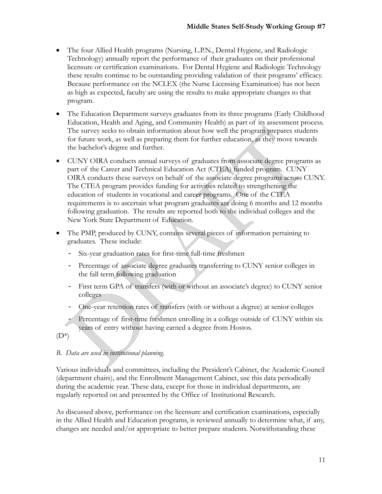- The four Allied Health programs (Nursing, L.P.N., Dental Hygiene, and Radiologic Technology) annually report the performance of their graduates on their professional licensure or certification examinations. For Dental Hygiene and Radiologic Technology these results continue to be outstanding providing validation of their programs' efficacy. Because performance on the NCLEX (the Nurse Licensing Examination) has not been as high as expected, faculty are using the results to make appropriate changes to that program.
- The Education Department surveys graduates from its three programs (Early Childhood Education, Health and Aging, and Community Health) as part of its assessment process. The survey seeks to obtain information about how well the program prepares students for future work, as well as preparing them for further education, as they move towards the bachelor's degree and further.
- CUNY OIRA conducts annual surveys of graduates from associate degree programs as part of the Career and Technical Education Act (CTEA) funded program. CUNY OIRA conducts these surveys on behalf of the associate degree programs across CUNY. The CTEA program provides funding for activities related to strengthening the education of students in vocational and career programs. One of the CTEA requirements is to ascertain what program graduates are doing 6 months and 12 months following graduation. The results are reported both to the individual colleges and the New York State Department of Education.
- The PMP, produced by CUNY, contains several pieces of information pertaining to graduates. These include:
	- Six-year graduation rates for first-time full-time freshmen
	- Percentage of associate degree graduates transferring to CUNY senior colleges in the fall term following graduation
	- First term GPA of transfers (with or without an associate's degree) to CUNY senior colleges
	- One-year retention rates of transfers (with or without a degree) at senior colleges

Percentage of first-time freshmen enrolling in a college outside of CUNY within six years of entry without having earned a degree from Hostos.

 $(D^*)$ 

# *B. Data are used in institutional planning.*

Various individuals and committees, including the President's Cabinet, the Academic Council (department chairs), and the Enrollment Management Cabinet, use this data periodically during the academic year. These data, except for those in individual departments, are regularly reported on and presented by the Office of Institutional Research.

As discussed above, performance on the licensure and certification examinations, especially in the Allied Health and Education programs, is reviewed annually to determine what, if any, changes are needed and/or appropriate to better prepare students. Notwithstanding these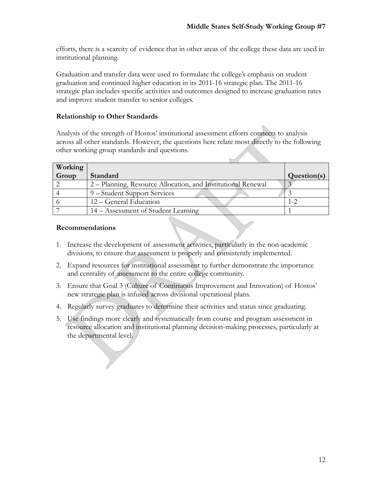efforts, there is a scarcity of evidence that in other areas of the college these data are used in institutional planning.

Graduation and transfer data were used to formulate the college's emphasis on student graduation and continued higher education in its 2011-16 strategic plan. The 2011-16 strategic plan includes specific activities and outcomes designed to increase graduation rates and improve student transfer to senior colleges.

## **Relationship to Other Standards**

Analysis of the strength of Hostos' institutional assessment efforts connects to analysis across all other standards. However, the questions here relate most directly to the following other working group standards and questions.

| Working |                                                              |             |
|---------|--------------------------------------------------------------|-------------|
| Group   | Standard                                                     | Question(s) |
|         | 2 – Planning, Resource Allocation, and Institutional Renewal |             |
|         | 9 – Student Support Services                                 |             |
|         | 12 – General Education                                       |             |
|         | 14 – Assessment of Student Learning                          |             |

### **Recommendations**

- 1. Increase the development of assessment activities, particularly in the non-academic divisions, to ensure that assessment is properly and consistently implemented.
- 2. Expand resources for institutional assessment to further demonstrate the importance and centrality of assessment to the entire college community.
- 3. Ensure that Goal 3 (Culture of Continuous Improvement and Innovation) of Hostos' new strategic plan is infused across divisional operational plans.
- 4. Regularly survey graduates to determine their activities and status since graduating.
- 5. Use findings more clearly and systematically from course and program assessment in resource allocation and institutional planning decision-making processes, particularly at the departmental level.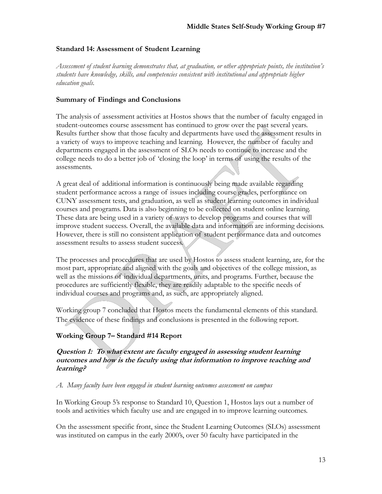#### **Standard 14: Assessment of Student Learning**

*Assessment of student learning demonstrates that, at graduation, or other appropriate points, the institution's students have knowledge, skills, and competencies consistent with institutional and appropriate higher education goals.*

#### **Summary of Findings and Conclusions**

The analysis of assessment activities at Hostos shows that the number of faculty engaged in student-outcomes course assessment has continued to grow over the past several years. Results further show that those faculty and departments have used the assessment results in a variety of ways to improve teaching and learning. However, the number of faculty and departments engaged in the assessment of SLOs needs to continue to increase and the college needs to do a better job of 'closing the loop' in terms of using the results of the assessments.

A great deal of additional information is continuously being made available regarding student performance across a range of issues including course grades, performance on CUNY assessment tests, and graduation, as well as student learning outcomes in individual courses and programs. Data is also beginning to be collected on student online learning. These data are being used in a variety of ways to develop programs and courses that will improve student success. Overall, the available data and information are informing decisions. However, there is still no consistent application of student performance data and outcomes assessment results to assess student success.

The processes and procedures that are used by Hostos to assess student learning, are, for the most part, appropriate and aligned with the goals and objectives of the college mission, as well as the missions of individual departments, units, and programs. Further, because the procedures are sufficiently flexible, they are readily adaptable to the specific needs of individual courses and programs and, as such, are appropriately aligned.

Working group 7 concluded that Hostos meets the fundamental elements of this standard. The evidence of these findings and conclusions is presented in the following report.

### **Working Group 7– Standard #14 Report**

**Question 1: To what extent are faculty engaged in assessing student learning outcomes and how is the faculty using that information to improve teaching and learning?** 

*A. Many faculty have been engaged in student learning outcomes assessment on campus*

In Working Group 5's response to Standard 10, Question 1, Hostos lays out a number of tools and activities which faculty use and are engaged in to improve learning outcomes.

On the assessment specific front, since the Student Learning Outcomes (SLOs) assessment was instituted on campus in the early 2000's, over 50 faculty have participated in the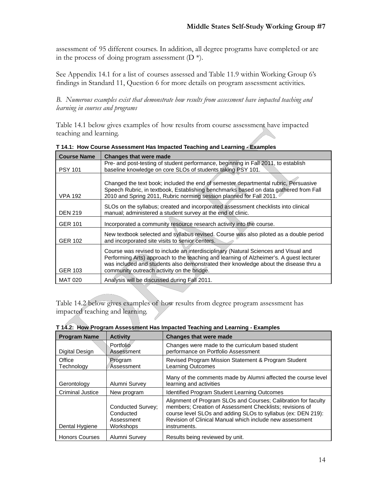assessment of 95 different courses. In addition, all degree programs have completed or are in the process of doing program assessment  $(D^*)$ .

See Appendix 14.1 for a list of courses assessed and Table 11.9 within Working Group 6's findings in Standard 11, Question 6 for more details on program assessment activities.

*B. Numerous examples exist that demonstrate how results from assessment have impacted teaching and learning in courses and programs* 

Table 14.1 below gives examples of how results from course assessment have impacted teaching and learning.

| <b>Course Name</b> | <b>Changes that were made</b>                                                                                                                                                                                                                                                                                        |
|--------------------|----------------------------------------------------------------------------------------------------------------------------------------------------------------------------------------------------------------------------------------------------------------------------------------------------------------------|
| <b>PSY 101</b>     | Pre- and post-testing of student performance, beginning in Fall 2011, to establish<br>baseline knowledge on core SLOs of students taking PSY 101.                                                                                                                                                                    |
| <b>VPA 192</b>     | Changed the text book; included the end of semester departmental rubric, Persuasive<br>Speech Rubric, in textbook, Establishing benchmarks based on data gathered from Fall<br>2010 and Spring 2011, Rubric norming session planned for Fall 2011.                                                                   |
| <b>DEN 219</b>     | SLOs on the syllabus; created and incorporated assessment checklists into clinical<br>manual; administered a student survey at the end of clinic.                                                                                                                                                                    |
| <b>GER 101</b>     | Incorporated a community resource research activity into the course.                                                                                                                                                                                                                                                 |
| <b>GER 102</b>     | New textbook selected and syllabus revised. Course was also piloted as a double period<br>and incorporated site visits to senior centers.                                                                                                                                                                            |
| <b>GER 103</b>     | Course was revised to include an interdisciplinary (Natural Sciences and Visual and<br>Performing Arts) approach to the teaching and learning of Alzheimer's. A guest lecturer<br>was included and students also demonstrated their knowledge about the disease thru a<br>community outreach activity on the bridge. |
| <b>MAT 020</b>     | Analysis will be discussed during Fall 2011.                                                                                                                                                                                                                                                                         |

| T 14.1: How Course Assessment Has Impacted Teaching and Learning Examples |  |
|---------------------------------------------------------------------------|--|
|---------------------------------------------------------------------------|--|

Table 14.2 below gives examples of how results from degree program assessment has impacted teaching and learning.

| <b>Program Name</b>     | <b>Activity</b>                                           | <b>Changes that were made</b>                                                                                                                                                                                                                                          |
|-------------------------|-----------------------------------------------------------|------------------------------------------------------------------------------------------------------------------------------------------------------------------------------------------------------------------------------------------------------------------------|
| Digital Design          | Portfolio<br>Assessment                                   | Changes were made to the curriculum based student<br>performance on Portfolio Assessment                                                                                                                                                                               |
| Office<br>Technology    | Program<br>Assessment                                     | Revised Program Mission Statement & Program Student<br><b>Learning Outcomes</b>                                                                                                                                                                                        |
| Gerontology             | Alumni Survey                                             | Many of the comments made by Alumni affected the course level<br>learning and activities                                                                                                                                                                               |
| <b>Criminal Justice</b> | New program                                               | <b>Identified Program Student Learning Outcomes</b>                                                                                                                                                                                                                    |
| Dental Hygiene          | Conducted Survey;<br>Conducted<br>Assessment<br>Workshops | Alignment of Program SLOs and Courses; Calibration for faculty<br>members; Creation of Assessment Checklists; revisions of<br>course level SLOs and adding SLOs to syllabus (ex: DEN 219):<br>Revision of Clinical Manual which include new assessment<br>instruments. |
| <b>Honors Courses</b>   | Alumni Survey                                             | Results being reviewed by unit.                                                                                                                                                                                                                                        |

|  |  | T 14.2: How Program Assessment Has Impacted Teaching and Learning - Examples |
|--|--|------------------------------------------------------------------------------|
|  |  |                                                                              |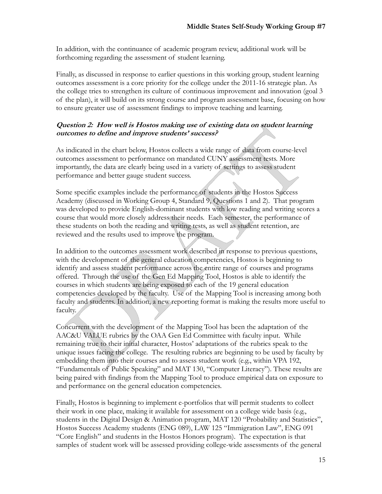In addition, with the continuance of academic program review, additional work will be forthcoming regarding the assessment of student learning.

Finally, as discussed in response to earlier questions in this working group, student learning outcomes assessment is a core priority for the college under the 2011-16 strategic plan. As the college tries to strengthen its culture of continuous improvement and innovation (goal 3 of the plan), it will build on its strong course and program assessment base, focusing on how to ensure greater use of assessment findings to improve teaching and learning.

### **Question 2: How well is Hostos making use of existing data on student learning outcomes to define and improve students' success?**

As indicated in the chart below, Hostos collects a wide range of data from course-level outcomes assessment to performance on mandated CUNY assessment tests. More importantly, the data are clearly being used in a variety of settings to assess student performance and better gauge student success.

Some specific examples include the performance of students in the Hostos Success Academy (discussed in Working Group 4, Standard 9, Questions 1 and 2). That program was developed to provide English-dominant students with low reading and writing scores a course that would more closely address their needs. Each semester, the performance of these students on both the reading and writing tests, as well as student retention, are reviewed and the results used to improve the program.

In addition to the outcomes assessment work described in response to previous questions, with the development of the general education competencies, Hostos is beginning to identify and assess student performance across the entire range of courses and programs offered. Through the use of the Gen Ed Mapping Tool, Hostos is able to identify the courses in which students are being exposed to each of the 19 general education competencies developed by the faculty. Use of the Mapping Tool is increasing among both faculty and students. In addition, a new reporting format is making the results more useful to faculty.

Concurrent with the development of the Mapping Tool has been the adaptation of the AAC&U VALUE rubrics by the OAA Gen Ed Committee with faculty input. While remaining true to their initial character, Hostos' adaptations of the rubrics speak to the unique issues facing the college. The resulting rubrics are beginning to be used by faculty by embedding them into their courses and to assess student work (e.g., within VPA 192, "Fundamentals of Public Speaking" and MAT 130, "Computer Literacy"). These results are being paired with findings from the Mapping Tool to produce empirical data on exposure to and performance on the general education competencies.

Finally, Hostos is beginning to implement e-portfolios that will permit students to collect their work in one place, making it available for assessment on a college wide basis (e.g., students in the Digital Design & Animation program, MAT 120 "Probability and Statistics", Hostos Success Academy students (ENG 089), LAW 125 "Immigration Law", ENG 091 "Core English" and students in the Hostos Honors program). The expectation is that samples of student work will be assessed providing college-wide assessments of the general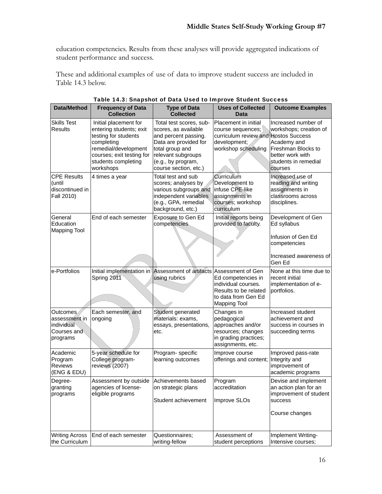education competencies. Results from these analyses will provide aggregated indications of student performance and success.

These and additional examples of use of data to improve student success are included in Table 14.3 below.

| Data/Method                                                        | <b>Frequency of Data</b><br><b>Collection</b>                                                                                                                                   | <b>Type of Data</b><br><b>Collected</b>                                                                                                                                                  | <b>Uses of Collected</b><br>Data                                                                                         | <b>Outcome Examples</b>                                                                                                                   |
|--------------------------------------------------------------------|---------------------------------------------------------------------------------------------------------------------------------------------------------------------------------|------------------------------------------------------------------------------------------------------------------------------------------------------------------------------------------|--------------------------------------------------------------------------------------------------------------------------|-------------------------------------------------------------------------------------------------------------------------------------------|
| <b>Skills Test</b><br><b>Results</b>                               | Initial placement for<br>entering students; exit<br>testing for students<br>completing<br>remedial/development<br>courses; exit testing for<br>students completing<br>workshops | Total test scores, sub-<br>scores, as available<br>and percent passing.<br>Data are provided for<br>total group and<br>relevant subgroups<br>(e.g., by program,<br>course section, etc.) | Placement in initial<br>course sequences;<br>curriculum review and Hostos Success<br>development;<br>workshop scheduling | Increased number of<br>workshops; creation of<br>Academy and<br>Freshman Blocks to<br>better work with<br>students in remedial<br>courses |
| <b>CPE Results</b><br>(until<br>discontinued in<br>Fall 2010)      | 4 times a year                                                                                                                                                                  | Total test and sub<br>scores; analyses by<br>various subgroups and<br>independent variables<br>(e.g., GPA, remedial<br>background, etc.)                                                 | Curriculum<br>Development to<br>infuse CPE-like<br>assignments in<br>courses; workshop<br>curriculum                     | Increased use of<br>reading and writing<br>assignments in<br>classrooms across<br>disciplines.                                            |
| General<br>Education<br><b>Mapping Tool</b>                        | End of each semester                                                                                                                                                            | Exposure to Gen Ed<br>competencies                                                                                                                                                       | Initial reports being<br>provided to faculty.                                                                            | Development of Gen<br>Ed syllabus<br>Infusion of Gen Ed<br>competencies<br>Increased awareness of<br>Gen Ed                               |
| e-Portfolios                                                       | Initial implementation in Assessment of artifacts Assessment of Gen<br>Spring 2011                                                                                              | using rubrics                                                                                                                                                                            | Ed competencies in<br>individual courses.<br>Results to be related<br>to data from Gen Ed<br><b>Mapping Tool</b>         | None at this time due to<br>recent initial<br>implementation of e-<br>portfolios.                                                         |
| Outcomes<br>assessment in<br>individual<br>Courses and<br>programs | Each semester, and<br>ongoing                                                                                                                                                   | Student generated<br>materials: exams,<br>essays, presentations,<br>etc.                                                                                                                 | Changes in<br>pedagogical<br>approaches and/or<br>resources; changes<br>in grading practices;<br>assignments, etc.       | Increased student<br>achievement and<br>success in courses in<br>succeeding terms                                                         |
| Academic<br>Program<br>Reviews<br>(ENG & EDU)                      | 5-year schedule for<br>College program-<br>reviews (2007)                                                                                                                       | Program- specific<br>learning outcomes                                                                                                                                                   | Improve course<br>offerings and content; Integrity and                                                                   | Improved pass-rate<br>improvement of<br>academic programs                                                                                 |
| Degree-<br>granting<br>programs                                    | Assessment by outside Achievements based<br>agencies of license-<br>eligible programs                                                                                           | on strategic plans<br>Student achievement                                                                                                                                                | Program<br>accreditation<br>Improve SLOs                                                                                 | Devise and implement<br>an action plan for an<br>improvement of student<br>success<br>Course changes                                      |
| <b>Writing Across</b><br>the Curriculum                            | End of each semester                                                                                                                                                            | Questionnaires;<br>writing-fellow                                                                                                                                                        | Assessment of<br>student perceptions                                                                                     | Implement Writing-<br>Intensive courses;                                                                                                  |

|  | Table 14.3: Snapshot of Data Used to Improve Student Success |  |  |  |  |
|--|--------------------------------------------------------------|--|--|--|--|
|  |                                                              |  |  |  |  |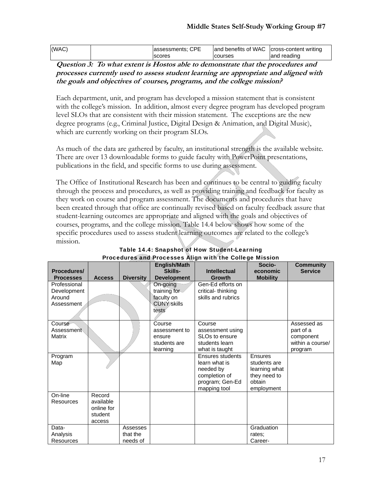| (WAC) | lassessments: CPE |         | and benefits of WAC   cross-content writing |
|-------|-------------------|---------|---------------------------------------------|
|       | <b>Scores</b>     | courses | and reading                                 |

**Question 3: To what extent is Hostos able to demonstrate that the procedures and processes currently used to assess student learning are appropriate and aligned with the goals and objectives of courses, programs, and the college mission?** 

Each department, unit, and program has developed a mission statement that is consistent with the college's mission. In addition, almost every degree program has developed program level SLOs that are consistent with their mission statement. The exceptions are the new degree programs (e.g., Criminal Justice, Digital Design & Animation, and Digital Music), which are currently working on their program SLOs.

As much of the data are gathered by faculty, an institutional strength is the available website. There are over 13 downloadable forms to guide faculty with PowerPoint presentations, publications in the field, and specific forms to use during assessment.

The Office of Institutional Research has been and continues to be central to guiding faculty through the process and procedures, as well as providing training and feedback for faculty as they work on course and program assessment. The documents and procedures that have been created through that office are continually revised based on faculty feedback assure that student-learning outcomes are appropriate and aligned with the goals and objectives of courses, programs, and the college mission. Table 14.4 below shows how some of the specific procedures used to assess student learning outcomes are related to the college's mission.

|                  |               |                  |                                | r rucedures and ripocesses Angli with the conege mission | Socio-          |                                    |
|------------------|---------------|------------------|--------------------------------|----------------------------------------------------------|-----------------|------------------------------------|
| Procedures/      |               |                  | <b>English/Math</b><br>Skills- | <b>Intellectual</b>                                      | economic        | <b>Community</b><br><b>Service</b> |
| <b>Processes</b> | <b>Access</b> | <b>Diversity</b> | <b>Development</b>             | Growth                                                   | <b>Mobility</b> |                                    |
| Professional     |               |                  | On-going                       | Gen-Ed efforts on                                        |                 |                                    |
| Development      |               |                  | training for                   | critical-thinking                                        |                 |                                    |
| Around           |               |                  | faculty on                     | skills and rubrics                                       |                 |                                    |
| Assessment       |               |                  | <b>CUNY skills</b>             |                                                          |                 |                                    |
|                  |               |                  | tests                          |                                                          |                 |                                    |
| Course           |               |                  | Course                         | Course                                                   |                 | Assessed as                        |
| Assessment       |               |                  | assessment to                  | assessment using                                         |                 | part of a                          |
| <b>Matrix</b>    |               |                  | ensure                         | SLO <sub>s</sub> to ensure                               |                 | component                          |
|                  |               |                  | students are                   | students learn                                           |                 | within a course/                   |
|                  |               |                  | learning                       | what is taught                                           |                 | program                            |
| Program          |               |                  |                                | <b>Ensures students</b>                                  | Ensures         |                                    |
| Map              |               |                  |                                | learn what is                                            | students are    |                                    |
|                  |               |                  |                                | needed by                                                | learning what   |                                    |
|                  |               |                  |                                | completion of                                            | they need to    |                                    |
|                  |               |                  |                                | program; Gen-Ed                                          | obtain          |                                    |
|                  |               |                  |                                | mapping tool                                             | employment      |                                    |
| On-line          | Record        |                  |                                |                                                          |                 |                                    |
| Resources        | available     |                  |                                |                                                          |                 |                                    |
|                  | online for    |                  |                                |                                                          |                 |                                    |
|                  | student       |                  |                                |                                                          |                 |                                    |
|                  | access        |                  |                                |                                                          |                 |                                    |
| Data-            |               | Assesses         |                                |                                                          | Graduation      |                                    |
| Analysis         |               | that the         |                                |                                                          | rates:          |                                    |
| <b>Resources</b> |               | needs of         |                                |                                                          | Career-         |                                    |

#### Table 14.4: Snapshot of How Student-Learning Procedures and Processes Align with the College Mission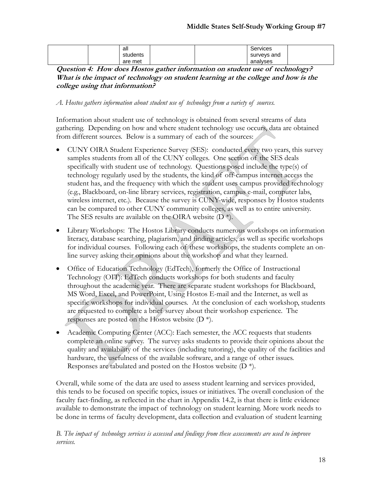| all      |  | Services    |  |
|----------|--|-------------|--|
| students |  | surveys and |  |
| are met  |  | analyses    |  |

**Question 4: How does Hostos gather information on student use of technology? What is the impact of technology on student learning at the college and how is the college using that information?**

*A. Hostos gathers information about student use of technology from a variety of sources.* 

Information about student use of technology is obtained from several streams of data gathering. Depending on how and where student technology use occurs, data are obtained from different sources. Below is a summary of each of the sources:

- CUNY OIRA Student Experience Survey (SES): conducted every two years, this survey samples students from all of the CUNY colleges. One section of the SES deals specifically with student use of technology. Questions posed include the type(s) of technology regularly used by the students, the kind of off-campus internet access the student has, and the frequency with which the student uses campus provided technology (e.g., Blackboard, on-line library services, registration, campus e-mail, computer labs, wireless internet, etc.). Because the survey is CUNY-wide, responses by Hostos students can be compared to other CUNY community colleges, as well as to entire university. The SES results are available on the QIRA website  $(D^*)$ .
- Library Workshops: The Hostos Library conducts numerous workshops on information literacy, database searching, plagiarism, and finding articles, as well as specific workshops for individual courses. Following each of these workshops, the students complete an online survey asking their opinions about the workshop and what they learned.
- Office of Education Technology (EdTech), formerly the Office of Instructional Technology (OIT): EdTech conducts workshops for both students and faculty throughout the academic year. There are separate student workshops for Blackboard, MS Word, Excel, and PowerPoint, Using Hostos E-mail and the Internet, as well as specific workshops for individual courses. At the conclusion of each workshop, students are requested to complete a brief survey about their workshop experience. The responses are posted on the Hostos website (D \*).
- Academic Computing Center (ACC): Each semester, the ACC requests that students complete an online survey. The survey asks students to provide their opinions about the quality and availability of the services (including tutoring), the quality of the facilities and hardware, the usefulness of the available software, and a range of other issues. Responses are tabulated and posted on the Hostos website  $(D^*)$ .

Overall, while some of the data are used to assess student learning and services provided, this tends to be focused on specific topics, issues or initiatives. The overall conclusion of the faculty fact-finding, as reflected in the chart in Appendix 14.2, is that there is little evidence available to demonstrate the impact of technology on student learning. More work needs to be done in terms of faculty development, data collection and evaluation of student learning

*B. The impact of technology services is assessed and findings from these assessments are used to improve services.*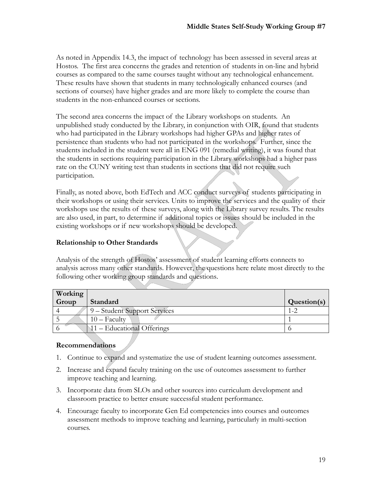As noted in Appendix 14.3, the impact of technology has been assessed in several areas at Hostos. The first area concerns the grades and retention of students in on-line and hybrid courses as compared to the same courses taught without any technological enhancement. These results have shown that students in many technologically enhanced courses (and sections of courses) have higher grades and are more likely to complete the course than students in the non-enhanced courses or sections.

The second area concerns the impact of the Library workshops on students. An unpublished study conducted by the Library, in conjunction with OIR, found that students who had participated in the Library workshops had higher GPAs and higher rates of persistence than students who had not participated in the workshops. Further, since the students included in the student were all in ENG 091 (remedial writing), it was found that the students in sections requiring participation in the Library workshops had a higher pass rate on the CUNY writing test than students in sections that did not require such participation.

Finally, as noted above, both EdTech and ACC conduct surveys of students participating in their workshops or using their services. Units to improve the services and the quality of their workshops use the results of these surveys, along with the Library survey results. The results are also used, in part, to determine if additional topics or issues should be included in the existing workshops or if new workshops should be developed.

### **Relationship to Other Standards**

Analysis of the strength of Hostos' assessment of student learning efforts connects to analysis across many other standards. However, the questions here relate most directly to the following other working group standards and questions.

| Working |                              |             |
|---------|------------------------------|-------------|
| Group   | Standard                     | Question(s) |
|         | 9 – Student Support Services |             |
|         | $10 -$ Faculty               |             |
|         | 11 – Educational Offerings   |             |

## **Recommendations**

- 1. Continue to expand and systematize the use of student learning outcomes assessment.
- 2. Increase and expand faculty training on the use of outcomes assessment to further improve teaching and learning.
- 3. Incorporate data from SLOs and other sources into curriculum development and classroom practice to better ensure successful student performance.
- 4. Encourage faculty to incorporate Gen Ed competencies into courses and outcomes assessment methods to improve teaching and learning, particularly in multi-section courses.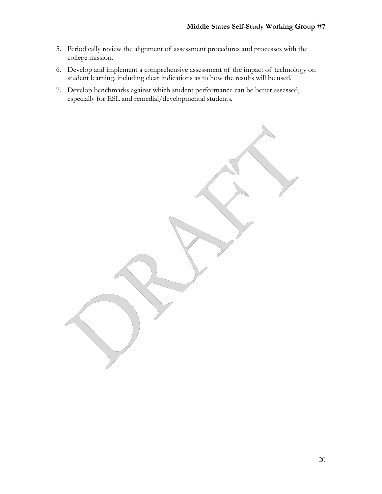- 5. Periodically review the alignment of assessment procedures and processes with the college mission.
- 6. Develop and implement a comprehensive assessment of the impact of technology on student learning, including clear indications as to how the results will be used.
- 7. Develop benchmarks against which student performance can be better assessed, especially for ESL and remedial/developmental students.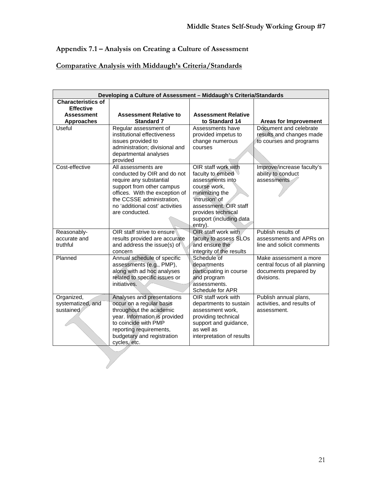# **Appendix 7.1 – Analysis on Creating a Culture of Assessment**

## **Comparative Analysis with Middaugh's Criteria/Standards**

| Developing a Culture of Assessment - Middaugh's Criteria/Standards               |                                                                                                                                                                                                                                |                                                                                                                                                                                                      |                                                                                                |  |  |
|----------------------------------------------------------------------------------|--------------------------------------------------------------------------------------------------------------------------------------------------------------------------------------------------------------------------------|------------------------------------------------------------------------------------------------------------------------------------------------------------------------------------------------------|------------------------------------------------------------------------------------------------|--|--|
| Characteristics of<br><b>Effective</b><br><b>Assessment</b><br><b>Approaches</b> | <b>Assessment Relative to</b><br><b>Standard 7</b>                                                                                                                                                                             | <b>Assessment Relative</b><br>to Standard 14                                                                                                                                                         | <b>Areas for Improvement</b>                                                                   |  |  |
| Useful                                                                           | Regular assessment of<br>institutional effectiveness<br>issues provided to<br>administration; divisional and<br>departmental analyses<br>provided                                                                              | Assessments have<br>provided impetus to<br>change numerous<br>courses                                                                                                                                | Document and celebrate<br>results and changes made<br>to courses and programs                  |  |  |
| Cost-effective                                                                   | All assessments are<br>conducted by OIR and do not<br>require any substantial<br>support from other campus<br>offices. With the exception of<br>the CCSSE administration,<br>no 'additional cost' activities<br>are conducted. | OIR staff work with<br>faculty to embed<br>assessments into<br>course work.<br>minimizing the<br>'intrusion' of<br>assessment. OIR staff<br>provides technical<br>support (including data<br>entry). | Improve/increase faculty's<br>ability to conduct<br>assessments                                |  |  |
| Reasonably-<br>accurate and<br>truthful                                          | OIR staff strive to ensure<br>results provided are accurate<br>and address the issue(s) of<br>concern                                                                                                                          | OIR staff work with<br>faculty to assess SLOs<br>and ensure the<br>integrity of the results                                                                                                          | Publish results of<br>assessments and APRs on<br>line and solicit comments                     |  |  |
| Planned                                                                          | Annual schedule of specific<br>assessments (e.g., PMP),<br>along with ad hoc analyses<br>related to specific issues or<br>initiatives.                                                                                         | Schedule of<br>departments<br>participating in course<br>and program<br>assessments.<br>Schedule for APR                                                                                             | Make assessment a more<br>central focus of all planning<br>documents prepared by<br>divisions. |  |  |
| Organized,<br>systematized, and<br>sustained                                     | Analyses and presentations<br>occur on a regular basis<br>throughout the academic<br>year. Information is provided<br>to coincide with PMP<br>reporting requirements,<br>budgetary and registration<br>cycles, etc.            | OIR staff work with<br>departments to sustain<br>assessment work,<br>providing technical<br>support and guidance,<br>as well as<br>interpretation of results                                         | Publish annual plans,<br>activities, and results of<br>assessment.                             |  |  |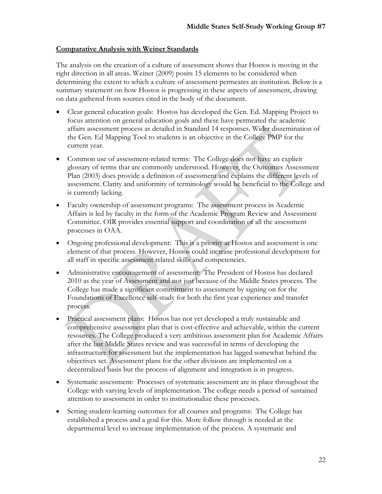#### **Comparative Analysis with Weiner Standards**

The analysis on the creation of a culture of assessment shows that Hostos is moving in the right direction in all areas. Weiner (2009) posits 15 elements to be considered when determining the extent to which a culture of assessment permeates an institution. Below is a summary statement on how Hostos is progressing in these aspects of assessment, drawing on data gathered from sources cited in the body of the document.

- Clear general education goals: Hostos has developed the Gen. Ed. Mapping Project to focus attention on general education goals and these have permeated the academic affairs assessment process as detailed in Standard 14 responses. Wider dissemination of the Gen. Ed Mapping Tool to students is an objective in the College PMP for the current year.
- Common use of assessment-related terms: The College does not have an explicit glossary of terms that are commonly understood. However, the Outcomes Assessment Plan (2003) does provide a definition of assessment and explains the different levels of assessment. Clarity and uniformity of terminology would be beneficial to the College and is currently lacking.
- Faculty ownership of assessment programs: The assessment process in Academic Affairs is led by faculty in the form of the Academic Program Review and Assessment Committee. OIR provides essential support and coordination of all the assessment processes in OAA.
- Ongoing professional development: This is a priority at Hostos and assessment is one element of that process. However, Hostos could increase professional development for all staff in specific assessment related skills and competencies.
- Administrative encouragement of assessment: The President of Hostos has declared 2010 as the year of Assessment and not just because of the Middle States process. The College has made a significant commitment to assessment by signing on for the Foundations of Excellence self-study for both the first year experience and transfer process.
- Practical assessment plans: Hostos has not yet developed a truly sustainable and comprehensive assessment plan that is cost-effective and achievable, within the current resources. The College produced a very ambitious assessment plan for Academic Affairs after the last Middle States review and was successful in terms of developing the infrastructure for assessment but the implementation has lagged somewhat behind the objectives set. Assessment plans for the other divisions are implemented on a decentralized basis but the process of alignment and integration is in progress.
- Systematic assessment: Processes of systematic assessment are in place throughout the College with varying levels of implementation. The college needs a period of sustained attention to assessment in order to institutionalize these processes.
- Setting student-learning outcomes for all courses and programs: The College has established a process and a goal for this. More follow through is needed at the departmental level to increase implementation of the process. A systematic and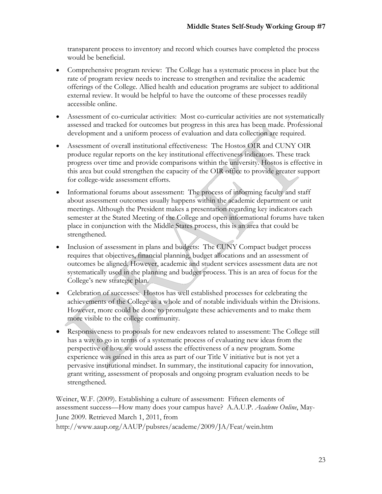transparent process to inventory and record which courses have completed the process would be beneficial.

- Comprehensive program review: The College has a systematic process in place but the rate of program review needs to increase to strengthen and revitalize the academic offerings of the College. Allied health and education programs are subject to additional external review. It would be helpful to have the outcome of these processes readily accessible online.
- Assessment of co-curricular activities: Most co-curricular activities are not systematically assessed and tracked for outcomes but progress in this area has been made. Professional development and a uniform process of evaluation and data collection are required.
- Assessment of overall institutional effectiveness: The Hostos OIR and CUNY OIR produce regular reports on the key institutional effectiveness indicators. These track progress over time and provide comparisons within the university. Hostos is effective in this area but could strengthen the capacity of the OIR office to provide greater support for college-wide assessment efforts.
- Informational forums about assessment: The process of informing faculty and staff about assessment outcomes usually happens within the academic department or unit meetings. Although the President makes a presentation regarding key indicators each semester at the Stated Meeting of the College and open informational forums have taken place in conjunction with the Middle States process, this is an area that could be strengthened.
- Inclusion of assessment in plans and budgets: The CUNY Compact budget process requires that objectives, financial planning, budget allocations and an assessment of outcomes be aligned. However, academic and student services assessment data are not systematically used in the planning and budget process. This is an area of focus for the College's new strategic plan.
- Celebration of successes: Hostos has well established processes for celebrating the achievements of the College as a whole and of notable individuals within the Divisions. However, more could be done to promulgate these achievements and to make them more visible to the college community.
- Responsiveness to proposals for new endeavors related to assessment: The College still has a way to go in terms of a systematic process of evaluating new ideas from the perspective of how we would assess the effectiveness of a new program. Some experience was gained in this area as part of our Title V initiative but is not yet a pervasive institutional mindset. In summary, the institutional capacity for innovation, grant writing, assessment of proposals and ongoing program evaluation needs to be strengthened.

Weiner, W.F. (2009). Establishing a culture of assessment: Fifteen elements of assessment success—How many does your campus have? A.A.U.P. *Academe Online*, May-June 2009*.* Retrieved March 1, 2011, from http://www.aaup.org/AAUP/pubsres/academe/2009/JA/Feat/wein.htm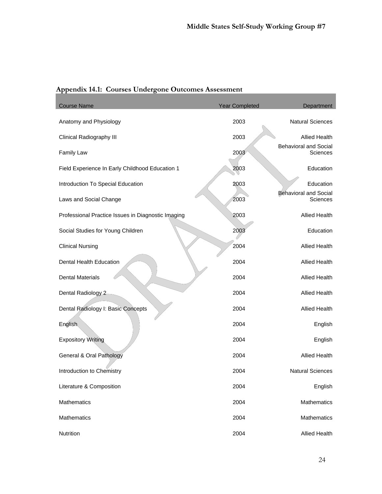| Appendix 14.1: Courses Undergone Outcomes Assessment |  |  |
|------------------------------------------------------|--|--|
|                                                      |  |  |

| <b>Course Name</b>                                 | <b>Year Completed</b> | Department                                      |
|----------------------------------------------------|-----------------------|-------------------------------------------------|
| Anatomy and Physiology                             | 2003                  | <b>Natural Sciences</b>                         |
| <b>Clinical Radiography III</b>                    | 2003                  | <b>Allied Health</b>                            |
| Family Law                                         | 2003                  | <b>Behavioral and Social</b><br><b>Sciences</b> |
| Field Experience In Early Childhood Education 1    | 2003                  | Education                                       |
| Introduction To Special Education                  | 2003                  | Education                                       |
| Laws and Social Change                             | 2003                  | <b>Behavioral and Social</b><br>Sciences        |
| Professional Practice Issues in Diagnostic Imaging | 2003                  | <b>Allied Health</b>                            |
| Social Studies for Young Children                  | 2003                  | Education                                       |
| <b>Clinical Nursing</b>                            | 2004                  | Allied Health                                   |
| Dental Health Education                            | 2004                  | <b>Allied Health</b>                            |
| <b>Dental Materials</b>                            | 2004                  | <b>Allied Health</b>                            |
| Dental Radiology 2                                 | 2004                  | <b>Allied Health</b>                            |
| Dental Radiology I: Basic Concepts                 | 2004                  | <b>Allied Health</b>                            |
| English                                            | 2004                  | English                                         |
| <b>Expository Writing</b>                          | 2004                  | English                                         |
| General & Oral Pathology                           | 2004                  | <b>Allied Health</b>                            |
| Introduction to Chemistry                          | 2004                  | <b>Natural Sciences</b>                         |
| Literature & Composition                           | 2004                  | English                                         |
| Mathematics                                        | 2004                  | Mathematics                                     |
| Mathematics                                        | 2004                  | Mathematics                                     |
| Nutrition                                          | 2004                  | Allied Health                                   |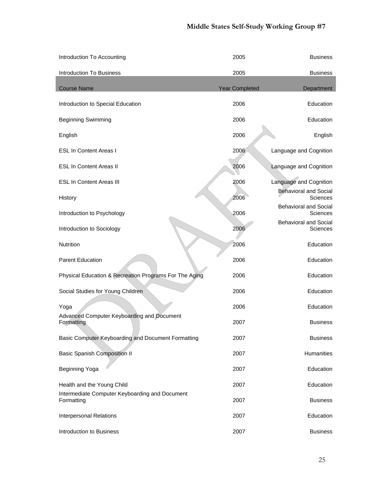| Introduction To Accounting                                   | 2005                  | <b>Business</b>                          |
|--------------------------------------------------------------|-----------------------|------------------------------------------|
| <b>Introduction To Business</b>                              | 2005                  | <b>Business</b>                          |
| <b>Course Name</b>                                           |                       |                                          |
|                                                              | <b>Year Completed</b> | Department                               |
| Introduction to Special Education                            | 2006                  | Education                                |
| <b>Beginning Swimming</b>                                    | 2006                  | Education                                |
| English                                                      | 2006                  | English                                  |
| <b>ESL In Content Areas I</b>                                | 2006                  | Language and Cognition                   |
| <b>ESL In Content Areas II</b>                               | 2006                  | Language and Cognition                   |
| <b>ESL In Content Areas III</b>                              | 2006                  | Language and Cognition                   |
| History                                                      | 2006                  | <b>Behavioral and Social</b><br>Sciences |
| Introduction to Psychology                                   | 2006                  | <b>Behavioral and Social</b><br>Sciences |
| Introduction to Sociology                                    | 2006                  | <b>Behavioral and Social</b><br>Sciences |
| <b>Nutrition</b>                                             | 2006                  | Education                                |
| <b>Parent Education</b>                                      | 2006                  | Education                                |
| Physical Education & Recreation Programs For The Aging       | 2006                  | Education                                |
| Social Studies for Young Children                            | 2006                  | Education                                |
| Yoga                                                         | 2006                  | Education                                |
| Advanced Computer Keyboarding and Document<br>Formatting     | 2007                  | <b>Business</b>                          |
| Basic Computer Keyboarding and Document Formatting           | 2007                  | <b>Business</b>                          |
| <b>Basic Spanish Composition II</b>                          | 2007                  | Humanities                               |
| Beginning Yoga                                               | 2007                  | Education                                |
| Health and the Young Child                                   | 2007                  | Education                                |
| Intermediate Computer Keyboarding and Document<br>Formatting | 2007                  | <b>Business</b>                          |
| Interpersonal Relations                                      | 2007                  | Education                                |
| Introduction to Business                                     | 2007                  | <b>Business</b>                          |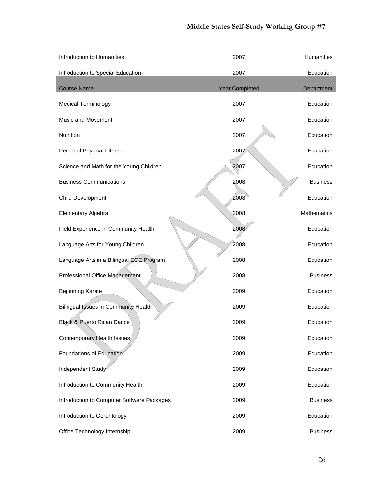| Introduction to Humanities                 | 2007                  | Humanities      |
|--------------------------------------------|-----------------------|-----------------|
| Introduction to Special Education          | 2007                  | Education       |
| <b>Course Name</b>                         | <b>Year Completed</b> | Department      |
|                                            |                       |                 |
| <b>Medical Terminology</b>                 | 2007                  | Education       |
| Music and Movement                         | 2007                  | Education       |
| Nutrition                                  | 2007                  | Education       |
| <b>Personal Physical Fitness</b>           | 2007                  | Education       |
| Science and Math for the Young Children    | 2007                  | Education       |
| <b>Business Communications</b>             | 2008                  | <b>Business</b> |
| Child Development                          | 2008                  | Education       |
| Elementary Algebra                         | 2008                  | Mathematics     |
| Field Experience in Community Health       | 2008                  | Education       |
| Language Arts for Young Children           | 2008                  | Education       |
| Language Arts in a Bilingual ECE Program   | 2008                  | Education       |
| Professional Office Management             | 2008                  | <b>Business</b> |
| <b>Beginning Karate</b>                    | 2009                  | Education       |
| Bilingual Issues in Community Health       | 2009                  | Education       |
| <b>Black &amp; Puerto Rican Dance</b>      | 2009                  | Education       |
| Contemporary Health Issues                 | 2009                  | Education       |
| Foundations of Education                   | 2009                  | Education       |
| Independent Study                          | 2009                  | Education       |
| Introduction to Community Health           | 2009                  | Education       |
| Introduction to Computer Software Packages | 2009                  | <b>Business</b> |
| Introduction to Gerontology                | 2009                  | Education       |
| Office Technology Internship               | 2009                  | <b>Business</b> |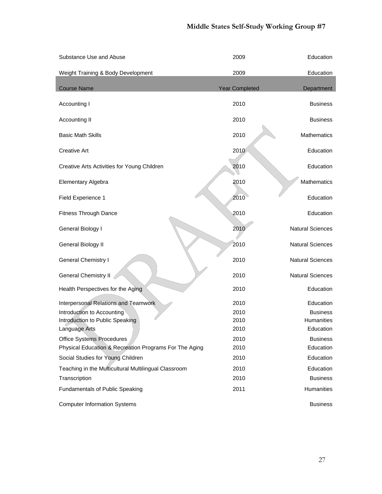| Substance Use and Abuse                                | 2009                  | Education               |
|--------------------------------------------------------|-----------------------|-------------------------|
| Weight Training & Body Development                     | 2009                  | Education               |
| <b>Course Name</b>                                     | <b>Year Completed</b> | Department              |
| Accounting I                                           | 2010                  | <b>Business</b>         |
| Accounting II                                          | 2010                  | <b>Business</b>         |
| <b>Basic Math Skills</b>                               | 2010                  | <b>Mathematics</b>      |
| <b>Creative Art</b>                                    | 2010                  | Education               |
| Creative Arts Activities for Young Children            | 2010                  | Education               |
| Elementary Algebra                                     | 2010                  | <b>Mathematics</b>      |
| Field Experience 1                                     | 2010                  | Education               |
| <b>Fitness Through Dance</b>                           | 2010                  | Education               |
| General Biology I                                      | 2010                  | <b>Natural Sciences</b> |
| General Biology II                                     | 2010                  | <b>Natural Sciences</b> |
| <b>General Chemistry I</b>                             | 2010                  | <b>Natural Sciences</b> |
| <b>General Chemistry II</b>                            | 2010                  | <b>Natural Sciences</b> |
| Health Perspectives for the Aging                      | 2010                  | Education               |
| Interpersonal Relations and Teamwork                   | 2010                  | Education               |
| Introduction to Accounting                             | 2010                  | <b>Business</b>         |
| Introduction to Public Speaking                        | 2010                  | <b>Humanities</b>       |
| Language Arts                                          | 2010                  | Education               |
| <b>Office Systems Procedures</b>                       | 2010                  | <b>Business</b>         |
| Physical Education & Recreation Programs For The Aging | 2010                  | Education               |
| Social Studies for Young Children                      | 2010                  | Education               |
| Teaching in the Multicultural Multilingual Classroom   | 2010                  | Education               |
| Transcription                                          | 2010                  | <b>Business</b>         |
| <b>Fundamentals of Public Speaking</b>                 | 2011                  | <b>Humanities</b>       |
| <b>Computer Information Systems</b>                    |                       | <b>Business</b>         |